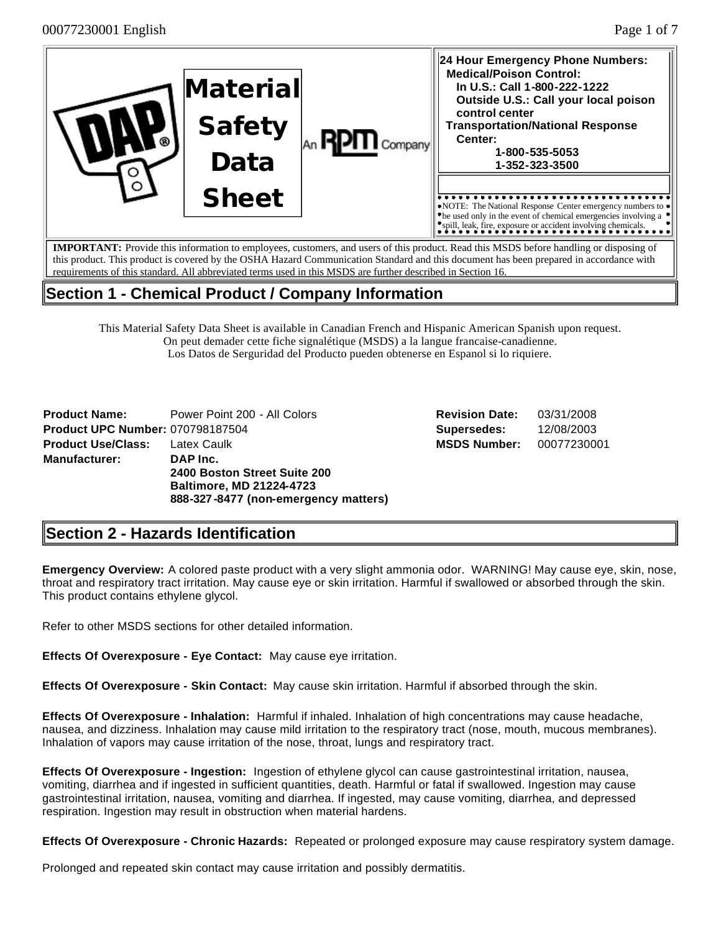| റ്റ | Material<br><b>Safety</b><br>Data | Company | 24 Hour Emergency Phone Numbers:<br><b>Medical/Poison Control:</b><br>In U.S.: Call 1-800-222-1222<br>Outside U.S.: Call your local poison<br>control center<br><b>Transportation/National Response</b><br>Center:<br>1-800-535-5053<br>1-352-323-3500 |
|-----|-----------------------------------|---------|--------------------------------------------------------------------------------------------------------------------------------------------------------------------------------------------------------------------------------------------------------|
|     | <b>Sheet</b>                      |         | $\triangleright$ NOTE: The National Response Center emergency numbers to $\triangleright$<br>$\blacktriangleright$ be used only in the event of chemical emergencies involving a<br>"spill, leak, fire, exposure or accident involving chemicals.      |
|     |                                   |         | <b>IMPORTANT:</b> Provide this information to employees customers, and users of this product. Read this MSDS before handling or disposing of                                                                                                           |

**IMPORTANT:** Provide this information to employees, customers, and users of this product. Read this MSDS before handling or disposing of this product. This product is covered by the OSHA Hazard Communication Standard and this document has been prepared in accordance with requirements of this standard. All abbreviated terms used in this MSDS are further described in Section 16.

# **Section 1 - Chemical Product / Company Information**

This Material Safety Data Sheet is available in Canadian French and Hispanic American Spanish upon request. On peut demader cette fiche signalétique (MSDS) a la langue francaise-canadienne. Los Datos de Serguridad del Producto pueden obtenerse en Espanol si lo riquiere.

| <b>Product Name:</b>                    | Power Point 200 - All Colors         |
|-----------------------------------------|--------------------------------------|
| <b>Product UPC Number: 070798187504</b> |                                      |
| <b>Product Use/Class: Latex Caulk</b>   |                                      |
| Manufacturer:                           | DAP Inc.                             |
|                                         | 2400 Boston Street Suite 200         |
|                                         | <b>Baltimore, MD 21224-4723</b>      |
|                                         | 888-327-8477 (non-emergency matters) |

**Revision Date:** 03/31/2008 **Supersedes:** 12/08/2003 **MSDS Number:** 00077230001

# **Section 2 - Hazards Identification**

**Emergency Overview:** A colored paste product with a very slight ammonia odor. WARNING! May cause eye, skin, nose, throat and respiratory tract irritation. May cause eye or skin irritation. Harmful if swallowed or absorbed through the skin. This product contains ethylene glycol.

Refer to other MSDS sections for other detailed information.

**Effects Of Overexposure - Eye Contact:** May cause eye irritation.

**Effects Of Overexposure - Skin Contact:** May cause skin irritation. Harmful if absorbed through the skin.

**Effects Of Overexposure - Inhalation:** Harmful if inhaled. Inhalation of high concentrations may cause headache, nausea, and dizziness. Inhalation may cause mild irritation to the respiratory tract (nose, mouth, mucous membranes). Inhalation of vapors may cause irritation of the nose, throat, lungs and respiratory tract.

**Effects Of Overexposure - Ingestion:** Ingestion of ethylene glycol can cause gastrointestinal irritation, nausea, vomiting, diarrhea and if ingested in sufficient quantities, death. Harmful or fatal if swallowed. Ingestion may cause gastrointestinal irritation, nausea, vomiting and diarrhea. If ingested, may cause vomiting, diarrhea, and depressed respiration. Ingestion may result in obstruction when material hardens.

**Effects Of Overexposure - Chronic Hazards:** Repeated or prolonged exposure may cause respiratory system damage.

Prolonged and repeated skin contact may cause irritation and possibly dermatitis.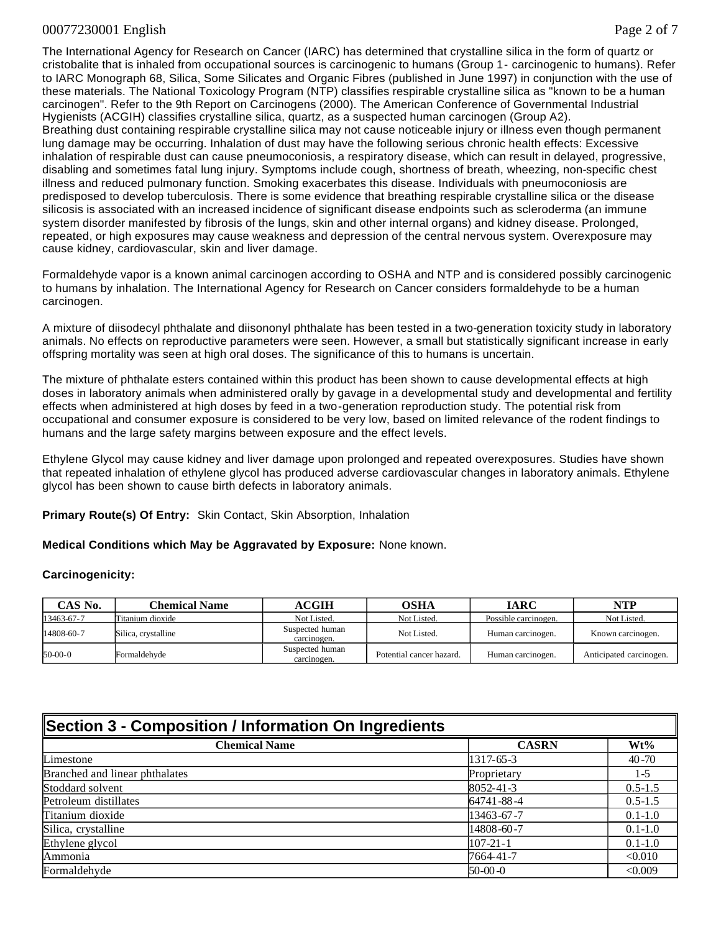### 00077230001 English Page 2 of 7

The International Agency for Research on Cancer (IARC) has determined that crystalline silica in the form of quartz or cristobalite that is inhaled from occupational sources is carcinogenic to humans (Group 1- carcinogenic to humans). Refer to IARC Monograph 68, Silica, Some Silicates and Organic Fibres (published in June 1997) in conjunction with the use of these materials. The National Toxicology Program (NTP) classifies respirable crystalline silica as "known to be a human carcinogen". Refer to the 9th Report on Carcinogens (2000). The American Conference of Governmental Industrial Hygienists (ACGIH) classifies crystalline silica, quartz, as a suspected human carcinogen (Group A2). Breathing dust containing respirable crystalline silica may not cause noticeable injury or illness even though permanent lung damage may be occurring. Inhalation of dust may have the following serious chronic health effects: Excessive inhalation of respirable dust can cause pneumoconiosis, a respiratory disease, which can result in delayed, progressive, disabling and sometimes fatal lung injury. Symptoms include cough, shortness of breath, wheezing, non-specific chest illness and reduced pulmonary function. Smoking exacerbates this disease. Individuals with pneumoconiosis are predisposed to develop tuberculosis. There is some evidence that breathing respirable crystalline silica or the disease silicosis is associated with an increased incidence of significant disease endpoints such as scleroderma (an immune system disorder manifested by fibrosis of the lungs, skin and other internal organs) and kidney disease. Prolonged, repeated, or high exposures may cause weakness and depression of the central nervous system. Overexposure may cause kidney, cardiovascular, skin and liver damage.

Formaldehyde vapor is a known animal carcinogen according to OSHA and NTP and is considered possibly carcinogenic to humans by inhalation. The International Agency for Research on Cancer considers formaldehyde to be a human carcinogen.

A mixture of diisodecyl phthalate and diisononyl phthalate has been tested in a two-generation toxicity study in laboratory animals. No effects on reproductive parameters were seen. However, a small but statistically significant increase in early offspring mortality was seen at high oral doses. The significance of this to humans is uncertain.

The mixture of phthalate esters contained within this product has been shown to cause developmental effects at high doses in laboratory animals when administered orally by gavage in a developmental study and developmental and fertility effects when administered at high doses by feed in a two-generation reproduction study. The potential risk from occupational and consumer exposure is considered to be very low, based on limited relevance of the rodent findings to humans and the large safety margins between exposure and the effect levels.

Ethylene Glycol may cause kidney and liver damage upon prolonged and repeated overexposures. Studies have shown that repeated inhalation of ethylene glycol has produced adverse cardiovascular changes in laboratory animals. Ethylene glycol has been shown to cause birth defects in laboratory animals.

**Primary Route(s) Of Entry:** Skin Contact, Skin Absorption, Inhalation

**Medical Conditions which May be Aggravated by Exposure:** None known.

### **Carcinogenicity:**

| CAS No.    | Chemical Name       | ACGIH                          | OSHA                     | <b>IARC</b>          | NTP                     |
|------------|---------------------|--------------------------------|--------------------------|----------------------|-------------------------|
| 13463-67-7 | Titanium dioxide    | Not Listed.                    | Not Listed.              | Possible carcinogen. | Not Listed.             |
| 14808-60-7 | Silica, crystalline | Suspected human<br>carcinogen. | Not Listed.              | Human carcinogen.    | Known carcinogen.       |
| $50-00-0$  | Formaldehvde        | Suspected human<br>carcinogen. | Potential cancer hazard. | Human carcinogen.    | Anticipated carcinogen. |

|  |  |  |  | Section 3 - Composition / Information On Ingredients |  |
|--|--|--|--|------------------------------------------------------|--|
|  |  |  |  |                                                      |  |

| <b>Chemical Name</b>           | <b>CASRN</b>    | $Wt\%$      |
|--------------------------------|-----------------|-------------|
| Limestone                      | 1317-65-3       | $40 - 70$   |
| Branched and linear phthalates | Proprietary     | $1-5$       |
| Stoddard solvent               | $8052 - 41 - 3$ | $0.5 - 1.5$ |
| Petroleum distillates          | 64741-88-4      | $0.5 - 1.5$ |
| Titanium dioxide               | 13463-67-7      | $0.1 - 1.0$ |
| Silica, crystalline            | 14808-60-7      | $0.1 - 1.0$ |
| Ethylene glycol                | $107 - 21 - 1$  | $0.1 - 1.0$ |
| Ammonia                        | 7664-41-7       | < 0.010     |
| Formaldehyde                   | $50-00-0$       | < 0.009     |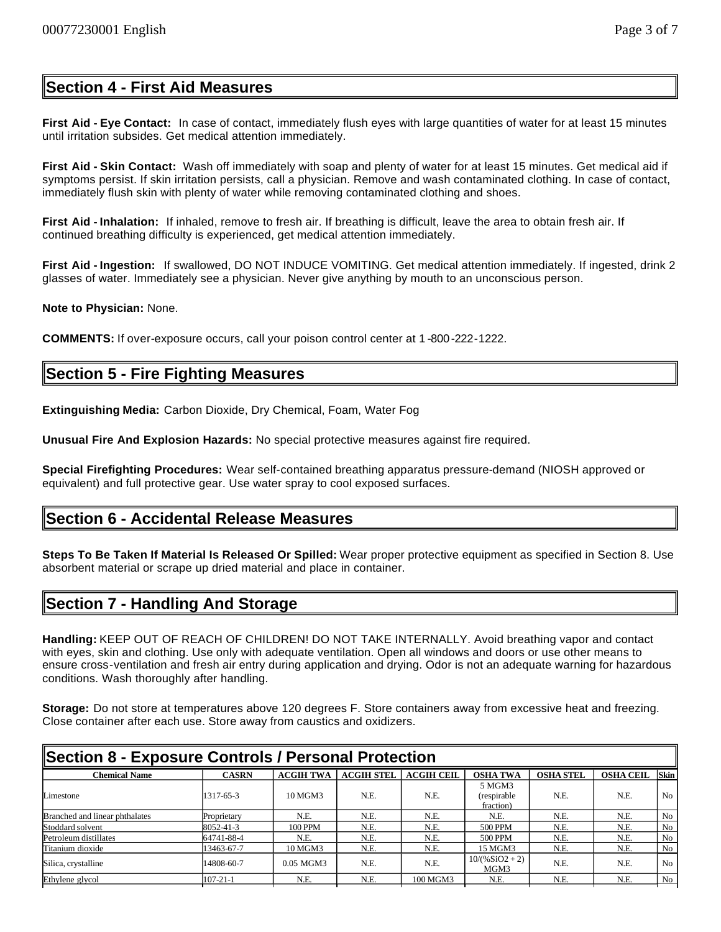## **Section 4 - First Aid Measures**

**First Aid - Eye Contact:** In case of contact, immediately flush eyes with large quantities of water for at least 15 minutes until irritation subsides. Get medical attention immediately.

**First Aid - Skin Contact:** Wash off immediately with soap and plenty of water for at least 15 minutes. Get medical aid if symptoms persist. If skin irritation persists, call a physician. Remove and wash contaminated clothing. In case of contact, immediately flush skin with plenty of water while removing contaminated clothing and shoes.

**First Aid - Inhalation:** If inhaled, remove to fresh air. If breathing is difficult, leave the area to obtain fresh air. If continued breathing difficulty is experienced, get medical attention immediately.

**First Aid - Ingestion:** If swallowed, DO NOT INDUCE VOMITING. Get medical attention immediately. If ingested, drink 2 glasses of water. Immediately see a physician. Never give anything by mouth to an unconscious person.

**Note to Physician:** None.

**COMMENTS:** If over-exposure occurs, call your poison control center at 1 -800-222-1222.

## **Section 5 - Fire Fighting Measures**

**Extinguishing Media:** Carbon Dioxide, Dry Chemical, Foam, Water Fog

**Unusual Fire And Explosion Hazards:** No special protective measures against fire required.

**Special Firefighting Procedures:** Wear self-contained breathing apparatus pressure-demand (NIOSH approved or equivalent) and full protective gear. Use water spray to cool exposed surfaces.

### **Section 6 - Accidental Release Measures**

**Steps To Be Taken If Material Is Released Or Spilled:** Wear proper protective equipment as specified in Section 8. Use absorbent material or scrape up dried material and place in container.

## **Section 7 - Handling And Storage**

**Handling:** KEEP OUT OF REACH OF CHILDREN! DO NOT TAKE INTERNALLY. Avoid breathing vapor and contact with eyes, skin and clothing. Use only with adequate ventilation. Open all windows and doors or use other means to ensure cross-ventilation and fresh air entry during application and drying. Odor is not an adequate warning for hazardous conditions. Wash thoroughly after handling.

**Storage:** Do not store at temperatures above 120 degrees F. Store containers away from excessive heat and freezing. Close container after each use. Store away from caustics and oxidizers.

| Section 8 - Exposure Controls / Personal Protection |                |                  |                   |                   |                                    |                  |                  |                 |
|-----------------------------------------------------|----------------|------------------|-------------------|-------------------|------------------------------------|------------------|------------------|-----------------|
| <b>Chemical Name</b>                                | <b>CASRN</b>   | <b>ACGIH TWA</b> | <b>ACGIH STEL</b> | <b>ACGIH CEIL</b> | <b>OSHA TWA</b>                    | <b>OSHA STEL</b> | <b>OSHA CEIL</b> | <b>Skin</b>     |
| Limestone                                           | 1317-65-3      | 10 MGM3          | N.E.              | N.E.              | 5 MGM3<br>(respirable<br>fraction) | N.E.             | N.E.             | No <sub>1</sub> |
| Branched and linear phthalates                      | Proprietary    | N.E.             | N.E.              | N.E.              | N.E.                               | N.E.             | N.E.             | No              |
| Stoddard solvent                                    | 8052-41-3      | 100 PPM          | N.E.              | N.E.              | <b>500 PPM</b>                     | N.E.             | N.E.             | No              |
| Petroleum distillates                               | 64741-88-4     | N.E.             | N.E.              | N.E.              | 500 PPM                            | N.E.             | N.E.             | No              |
| Titanium dioxide                                    | 13463-67-7     | 10 MGM3          | N.E.              | N.E.              | 15 MGM3                            | N.E.             | N.E.             | No              |
| Silica, crystalline                                 | 14808-60-7     | 0.05 MGM3        | N.E.              | N.E.              | $10/(%SiO2 + 2)$<br>MGM3           | N.E.             | N.E.             | No              |
| Ethylene glycol                                     | $107 - 21 - 1$ | N.E.             | N.E.              | 100 MGM3          | N.E.                               | N.E.             | N.E.             | No              |
|                                                     |                |                  |                   |                   |                                    |                  |                  |                 |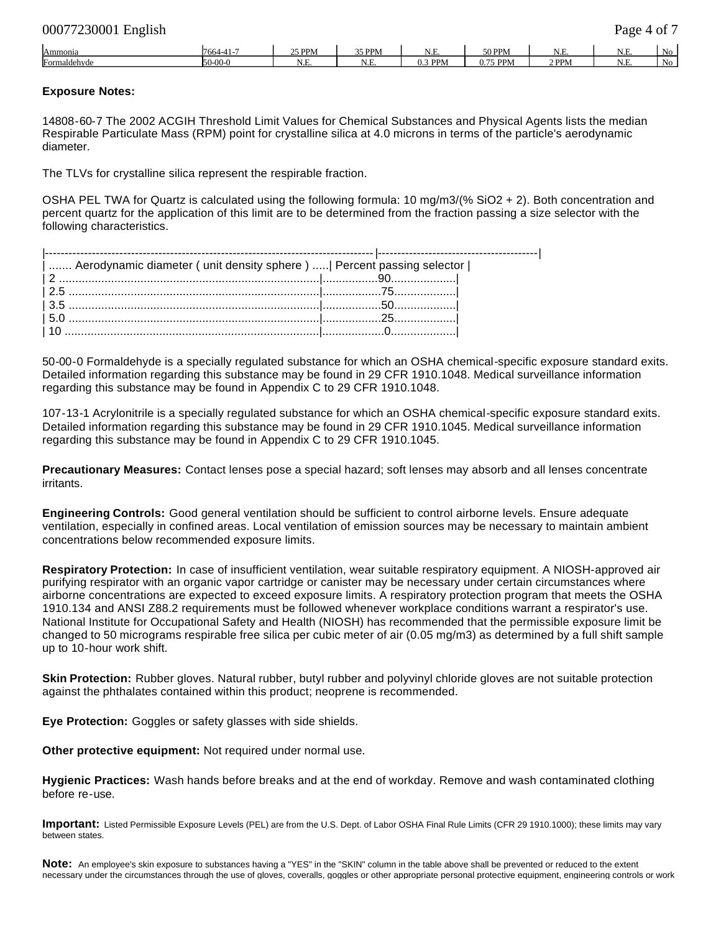| 00077230001 English | Page 4 of 7 |
|---------------------|-------------|
|                     |             |

| Ammonia                                  | /664<br>. .              | 25 PPM    | 35 PPM            | . . <del>. .</del><br>. تـــد               | $50$ DPM<br><b>JULINI</b> | ***  | $\sim$ $-$<br>IX.<br><b>1.L</b> | Nο |
|------------------------------------------|--------------------------|-----------|-------------------|---------------------------------------------|---------------------------|------|---------------------------------|----|
| $\overline{\phantom{0}}$<br>Formaldehyde | 150. QQ<br><u>v-vv-v</u> | T<br>، سـ | $\sim$ . $\sim$ . | DD <sub>N</sub><br>$\sim$<br>I I IVI<br>v.J | $75$ PPM<br>гги<br>υ.     | 'PPM | $\mathbf{v}$<br>N<br>.          | No |

### **Exposure Notes:**

14808-60-7 The 2002 ACGIH Threshold Limit Values for Chemical Substances and Physical Agents lists the median Respirable Particulate Mass (RPM) point for crystalline silica at 4.0 microns in terms of the particle's aerodynamic diameter.

The TLVs for crystalline silica represent the respirable fraction.

OSHA PEL TWA for Quartz is calculated using the following formula: 10 mg/m3/(% SiO2 + 2). Both concentration and percent quartz for the application of this limit are to be determined from the fraction passing a size selector with the following characteristics.

| Aerodynamic diameter (unit density sphere)    Percent passing selector |  |
|------------------------------------------------------------------------|--|
|                                                                        |  |
|                                                                        |  |
|                                                                        |  |
|                                                                        |  |
|                                                                        |  |

50-00-0 Formaldehyde is a specially regulated substance for which an OSHA chemical-specific exposure standard exits. Detailed information regarding this substance may be found in 29 CFR 1910.1048. Medical surveillance information regarding this substance may be found in Appendix C to 29 CFR 1910.1048.

107-13-1 Acrylonitrile is a specially regulated substance for which an OSHA chemical-specific exposure standard exits. Detailed information regarding this substance may be found in 29 CFR 1910.1045. Medical surveillance information regarding this substance may be found in Appendix C to 29 CFR 1910.1045.

**Precautionary Measures:** Contact lenses pose a special hazard; soft lenses may absorb and all lenses concentrate irritants.

**Engineering Controls:** Good general ventilation should be sufficient to control airborne levels. Ensure adequate ventilation, especially in confined areas. Local ventilation of emission sources may be necessary to maintain ambient concentrations below recommended exposure limits.

**Respiratory Protection:** In case of insufficient ventilation, wear suitable respiratory equipment. A NIOSH-approved air purifying respirator with an organic vapor cartridge or canister may be necessary under certain circumstances where airborne concentrations are expected to exceed exposure limits. A respiratory protection program that meets the OSHA 1910.134 and ANSI Z88.2 requirements must be followed whenever workplace conditions warrant a respirator's use. National Institute for Occupational Safety and Health (NIOSH) has recommended that the permissible exposure limit be changed to 50 micrograms respirable free silica per cubic meter of air (0.05 mg/m3) as determined by a full shift sample up to 10-hour work shift.

**Skin Protection:** Rubber gloves. Natural rubber, butyl rubber and polyvinyl chloride gloves are not suitable protection against the phthalates contained within this product; neoprene is recommended.

**Eye Protection:** Goggles or safety glasses with side shields.

**Other protective equipment:** Not required under normal use.

**Hygienic Practices:** Wash hands before breaks and at the end of workday. Remove and wash contaminated clothing before re-use.

**Important:** Listed Permissible Exposure Levels (PEL) are from the U.S. Dept. of Labor OSHA Final Rule Limits (CFR 29 1910.1000); these limits may vary between states.

**Note:** An employee's skin exposure to substances having a "YES" in the "SKIN" column in the table above shall be prevented or reduced to the extent necessary under the circumstances through the use of gloves, coveralls, goggles or other appropriate personal protective equipment, engineering controls or work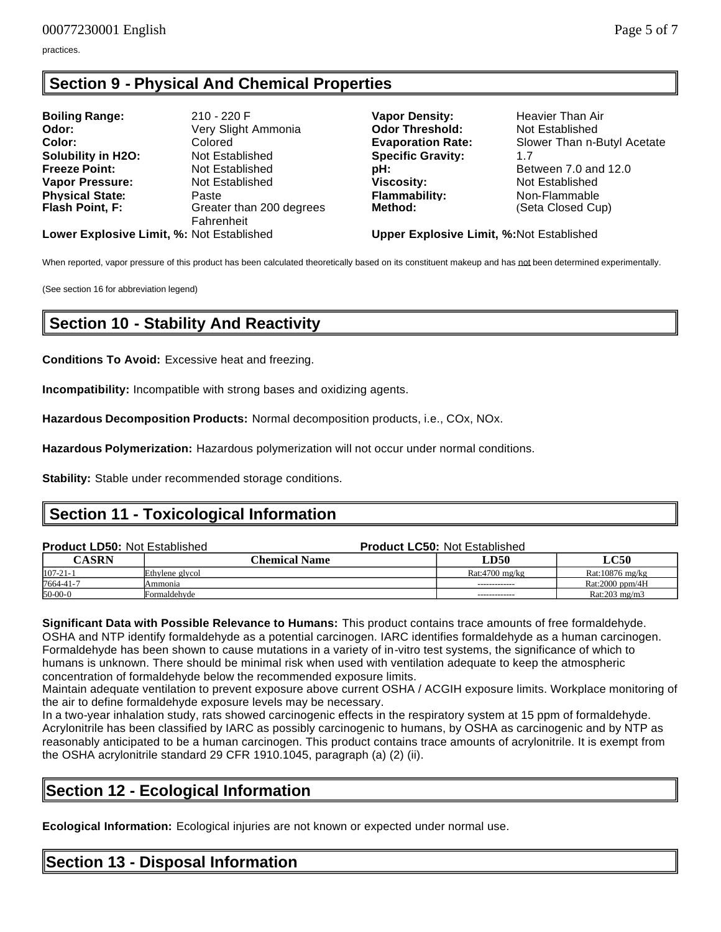practices.

## **Section 9 - Physical And Chemical Properties**

| <b>Boiling Range:</b>  | 210 - 220 F              |
|------------------------|--------------------------|
| Odor:                  | Very Slight Ammonia      |
| Color:                 | Colored                  |
| Solubility in H2O:     | Not Established          |
| <b>Freeze Point:</b>   | Not Established          |
| <b>Vapor Pressure:</b> | Not Established          |
| <b>Physical State:</b> | Paste                    |
| Flash Point, F:        | Greater than 200 degrees |
|                        | Fahrenheit               |
|                        |                          |

**Vapor Density: Heavier Than Air Odor Threshold: Not Established Specific Gravity:** 1.7 **Viscosity: Not Established Flammability:** Non-Flammable **Method:** (Seta Closed Cup)

**Evaporation Rate:** Slower Than n-Butyl Acetate **pH: Between 7.0 and 12.0** 

**Lower Explosive Limit, %:** Not Established **Upper Explosive Limit, %:**Not Established

When reported, vapor pressure of this product has been calculated theoretically based on its constituent makeup and has not been determined experimentally.

(See section 16 for abbreviation legend)

## **Section 10 - Stability And Reactivity**

**Conditions To Avoid:** Excessive heat and freezing.

**Incompatibility:** Incompatible with strong bases and oxidizing agents.

**Hazardous Decomposition Products:** Normal decomposition products, i.e., COx, NOx.

**Hazardous Polymerization:** Hazardous polymerization will not occur under normal conditions.

**Stability:** Stable under recommended storage conditions.

## **Section 11 - Toxicological Information**

| <b>Product LD50: Not Established</b> |                      | <b>Product LC50: Not Established</b> |                           |  |  |
|--------------------------------------|----------------------|--------------------------------------|---------------------------|--|--|
| <b>CASRN</b>                         | <b>Chemical Name</b> | LD50                                 | <b>LC50</b>               |  |  |
| $107 - 21 - 1$                       | Ethylene glycol      | Rat:4700 mg/kg                       | Rat:10876 mg/kg           |  |  |
| 7664-41-7                            | Ammonia              | -------------                        | Rat:2000 ppm/4 $H$        |  |  |
| $50-00-0$                            | Formaldehyde         | -------------                        | Rat: $203 \text{ mg/m}$ 3 |  |  |

**Significant Data with Possible Relevance to Humans:** This product contains trace amounts of free formaldehyde. OSHA and NTP identify formaldehyde as a potential carcinogen. IARC identifies formaldehyde as a human carcinogen. Formaldehyde has been shown to cause mutations in a variety of in-vitro test systems, the significance of which to humans is unknown. There should be minimal risk when used with ventilation adequate to keep the atmospheric concentration of formaldehyde below the recommended exposure limits.

Maintain adequate ventilation to prevent exposure above current OSHA / ACGIH exposure limits. Workplace monitoring of the air to define formaldehyde exposure levels may be necessary.

In a two-year inhalation study, rats showed carcinogenic effects in the respiratory system at 15 ppm of formaldehyde. Acrylonitrile has been classified by IARC as possibly carcinogenic to humans, by OSHA as carcinogenic and by NTP as reasonably anticipated to be a human carcinogen. This product contains trace amounts of acrylonitrile. It is exempt from the OSHA acrylonitrile standard 29 CFR 1910.1045, paragraph (a) (2) (ii).

## **Section 12 - Ecological Information**

**Ecological Information:** Ecological injuries are not known or expected under normal use.

## **Section 13 - Disposal Information**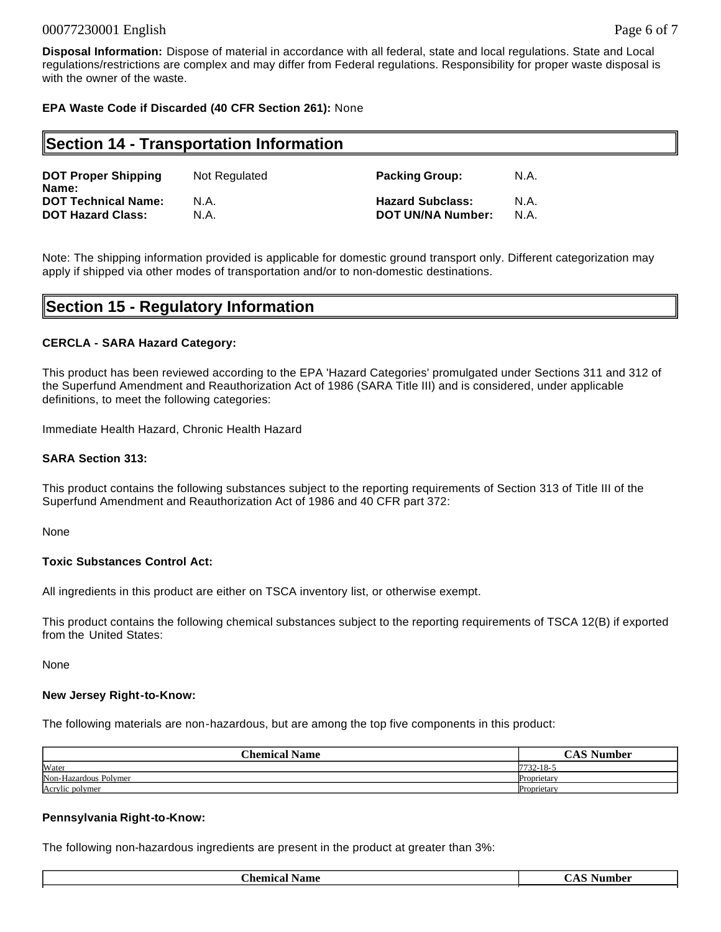### 00077230001 English Page 6 of 7

**Disposal Information:** Dispose of material in accordance with all federal, state and local regulations. State and Local regulations/restrictions are complex and may differ from Federal regulations. Responsibility for proper waste disposal is with the owner of the waste.

### **EPA Waste Code if Discarded (40 CFR Section 261):** None

### **Section 14 - Transportation Information**

| <b>DOT Proper Shipping</b><br>Name: | Not Regulated | <b>Packing Group:</b>    | N.A. |
|-------------------------------------|---------------|--------------------------|------|
| <b>DOT Technical Name:</b>          | N.A.          | <b>Hazard Subclass:</b>  | N.A. |
| <b>DOT Hazard Class:</b>            | N.A.          | <b>DOT UN/NA Number:</b> | N.A. |

Note: The shipping information provided is applicable for domestic ground transport only. Different categorization may apply if shipped via other modes of transportation and/or to non-domestic destinations.

## **Section 15 - Regulatory Information**

#### **CERCLA - SARA Hazard Category:**

This product has been reviewed according to the EPA 'Hazard Categories' promulgated under Sections 311 and 312 of the Superfund Amendment and Reauthorization Act of 1986 (SARA Title III) and is considered, under applicable definitions, to meet the following categories:

Immediate Health Hazard, Chronic Health Hazard

#### **SARA Section 313:**

This product contains the following substances subject to the reporting requirements of Section 313 of Title III of the Superfund Amendment and Reauthorization Act of 1986 and 40 CFR part 372:

None

### **Toxic Substances Control Act:**

All ingredients in this product are either on TSCA inventory list, or otherwise exempt.

This product contains the following chemical substances subject to the reporting requirements of TSCA 12(B) if exported from the United States:

None

#### **New Jersey Right-to-Know:**

The following materials are non-hazardous, but are among the top five components in this product:

| <b>Chemical Name</b>  | <b>CAS Number</b> |
|-----------------------|-------------------|
| Water                 | 7732-18-5         |
| Non-Hazardous Polymer | Proprietary       |
| Acrylic polymer       | Proprietary       |

#### **Pennsylvania Right-to-Know:**

The following non-hazardous ingredients are present in the product at greater than 3%:

| <b>Chemical Name</b> | Number<br>CA N |
|----------------------|----------------|
|                      |                |